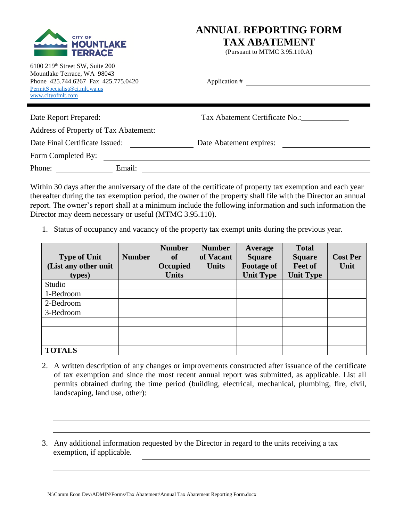

## **ANNUAL REPORTING FORM**

**TAX ABATEMENT**

(Pursuant to MTMC 3.95.110.A)

| 6100 219th Street SW, Suite 200     |
|-------------------------------------|
| Mountlake Terrace, WA 98043         |
| Phone 425.744.6267 Fax 425.775.0420 |
| PermitSpecialist@ci.mlt.wa.us       |
| www.cityofmlt.com                   |

| Phone 425.744.6267 Fax 425.775.0420<br>PermitSpecialist@ci.mlt.wa.us<br>www.cityofmlt.com |        | Application #                  |
|-------------------------------------------------------------------------------------------|--------|--------------------------------|
| Date Report Prepared:                                                                     |        | Tax Abatement Certificate No.: |
| <b>Address of Property of Tax Abatement:</b>                                              |        |                                |
| Date Final Certificate Issued:                                                            |        | Date Abatement expires:        |
| Form Completed By:                                                                        |        |                                |
| Phone:                                                                                    | Email: |                                |

Within 30 days after the anniversary of the date of the certificate of property tax exemption and each year thereafter during the tax exemption period, the owner of the property shall file with the Director an annual report. The owner's report shall at a minimum include the following information and such information the Director may deem necessary or useful (MTMC 3.95.110).

1. Status of occupancy and vacancy of the property tax exempt units during the previous year.

| <b>Type of Unit</b><br>(List any other unit<br>types) | <b>Number</b> | <b>Number</b><br>of<br>Occupied<br><b>Units</b> | <b>Number</b><br>of Vacant<br><b>Units</b> | <b>Average</b><br><b>Square</b><br><b>Footage of</b><br><b>Unit Type</b> | <b>Total</b><br><b>Square</b><br>Feet of<br><b>Unit Type</b> | <b>Cost Per</b><br>Unit |
|-------------------------------------------------------|---------------|-------------------------------------------------|--------------------------------------------|--------------------------------------------------------------------------|--------------------------------------------------------------|-------------------------|
| Studio                                                |               |                                                 |                                            |                                                                          |                                                              |                         |
| 1-Bedroom                                             |               |                                                 |                                            |                                                                          |                                                              |                         |
| 2-Bedroom                                             |               |                                                 |                                            |                                                                          |                                                              |                         |
| 3-Bedroom                                             |               |                                                 |                                            |                                                                          |                                                              |                         |
|                                                       |               |                                                 |                                            |                                                                          |                                                              |                         |
|                                                       |               |                                                 |                                            |                                                                          |                                                              |                         |
|                                                       |               |                                                 |                                            |                                                                          |                                                              |                         |
| <b>TOTALS</b>                                         |               |                                                 |                                            |                                                                          |                                                              |                         |

- 2. A written description of any changes or improvements constructed after issuance of the certificate of tax exemption and since the most recent annual report was submitted, as applicable. List all permits obtained during the time period (building, electrical, mechanical, plumbing, fire, civil, landscaping, land use, other):
- 3. Any additional information requested by the Director in regard to the units receiving a tax exemption, if applicable.